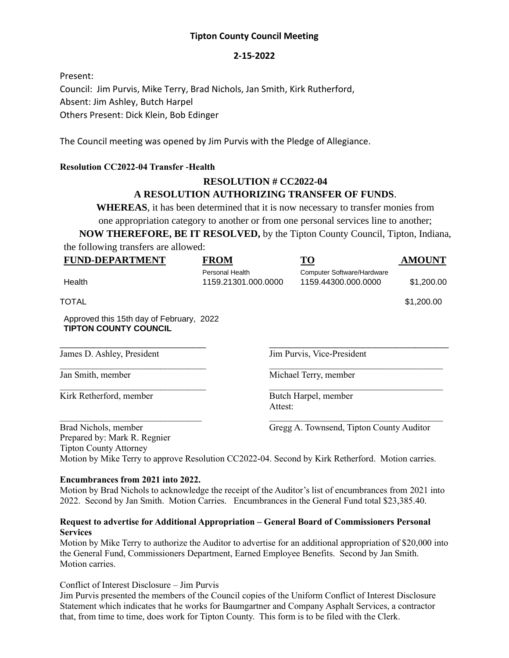## **Tipton County Council Meeting**

### **2-15-2022**

Present: Council: Jim Purvis, Mike Terry, Brad Nichols, Jan Smith, Kirk Rutherford, Absent: Jim Ashley, Butch Harpel Others Present: Dick Klein, Bob Edinger

The Council meeting was opened by Jim Purvis with the Pledge of Allegiance.

### **Resolution CC2022-04 Transfer -Health**

# **RESOLUTION # CC2022-04 A RESOLUTION AUTHORIZING TRANSFER OF FUNDS**.

**WHEREAS**, it has been determined that it is now necessary to transfer monies from one appropriation category to another or from one personal services line to another;

**NOW THEREFORE, BE IT RESOLVED,** by the Tipton County Council, Tipton, Indiana, the following transfers are allowed:

| <b>FUND-DEPARTMENT</b>                                                                | <b>FROM</b>                            | <b>TO</b>                                         | <b>AMOUNT</b> |
|---------------------------------------------------------------------------------------|----------------------------------------|---------------------------------------------------|---------------|
| Health                                                                                | Personal Health<br>1159.21301.000.0000 | Computer Software/Hardware<br>1159.44300.000.0000 | \$1,200.00    |
| TOTAL                                                                                 |                                        |                                                   | \$1,200.00    |
| Approved this 15th day of February, 2022<br><b>TIPTON COUNTY COUNCIL</b>              |                                        |                                                   |               |
| James D. Ashley, President                                                            |                                        | Jim Purvis, Vice-President                        |               |
| Jan Smith, member                                                                     |                                        | Michael Terry, member                             |               |
| Kirk Retherford, member                                                               |                                        | Butch Harpel, member<br>Attest:                   |               |
| Brad Nichols, member<br>Prepared by: Mark R. Regnier<br><b>Tipton County Attorney</b> |                                        | Gregg A. Townsend, Tipton County Auditor          |               |

Motion by Mike Terry to approve Resolution CC2022-04. Second by Kirk Retherford. Motion carries.

#### **Encumbrances from 2021 into 2022.**

Motion by Brad Nichols to acknowledge the receipt of the Auditor's list of encumbrances from 2021 into 2022. Second by Jan Smith. Motion Carries. Encumbrances in the General Fund total \$23,385.40.

#### **Request to advertise for Additional Appropriation – General Board of Commissioners Personal Services**

Motion by Mike Terry to authorize the Auditor to advertise for an additional appropriation of \$20,000 into the General Fund, Commissioners Department, Earned Employee Benefits. Second by Jan Smith. Motion carries.

Conflict of Interest Disclosure – Jim Purvis

Jim Purvis presented the members of the Council copies of the Uniform Conflict of Interest Disclosure Statement which indicates that he works for Baumgartner and Company Asphalt Services, a contractor that, from time to time, does work for Tipton County. This form is to be filed with the Clerk.